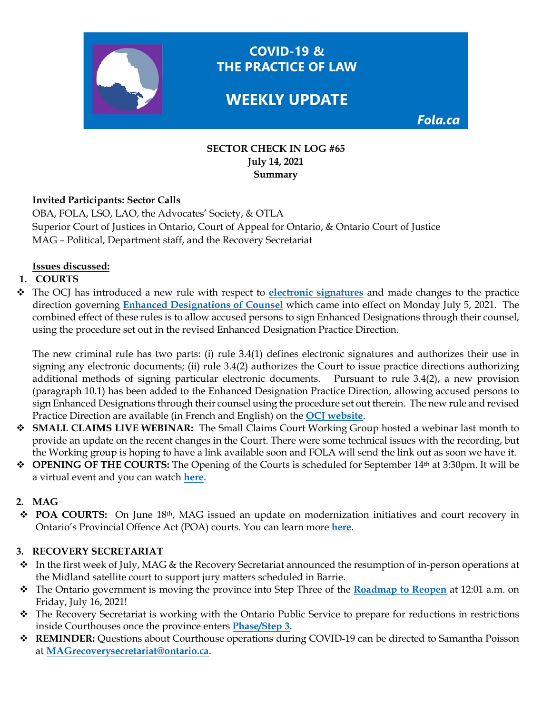

**COVID-19 &** THE PRACTICE OF LAW

# **WEEKLY UPDATE**

Fola.ca

#### **SECTOR CHECK IN LOG #65 July 14, 2021 Summary**

## **Invited Participants: Sector Calls**

OBA, FOLA, LSO, LAO, the Advocates' Society, & OTLA Superior Court of Justices in Ontario, Court of Appeal for Ontario, & Ontario Court of Justice MAG – Political, Department staff, and the Recovery Secretariat

#### **Issues discussed:**

## **1. COURTS**

 The OCJ has introduced a new rule with respect to **[electronic signatures](https://www.ontariocourts.ca/ocj/criminal-rules/)** and made changes to the practice direction governing **[Enhanced Designations of Counsel](https://www.ontariocourts.ca/ocj/covid-19/alternate-form-appearance/)** which came into effect on Monday July 5, 2021. The combined effect of these rules is to allow accused persons to sign Enhanced Designations through their counsel, using the procedure set out in the revised Enhanced Designation Practice Direction.

The new criminal rule has two parts: (i) rule 3.4(1) defines electronic signatures and authorizes their use in signing any electronic documents; (ii) rule 3.4(2) authorizes the Court to issue practice directions authorizing additional methods of signing particular electronic documents. Pursuant to rule 3.4(2), a new provision (paragraph 10.1) has been added to the Enhanced Designation Practice Direction, allowing accused persons to sign Enhanced Designations through their counsel using the procedure set out therein. The new rule and revised Practice Direction are available (in French and English) on the **[OCJ website](https://www.ontariocourts.ca/ocj/covid-19/)**.

- **SMALL CLAIMS LIVE WEBINAR:** The Small Claims Court Working Group hosted a webinar last month to provide an update on the recent changes in the Court. There were some technical issues with the recording, but the Working group is hoping to have a link available soon and FOLA will send the link out as soon we have it.
- **OPENING OF THE COURTS:** The Opening of the Courts is scheduled for September 14th at 3:30pm. It will be a virtual event and you can watch **[here](https://www.youtube.com/watch?v=Nv4szyNI-ZY)**.

#### **2. MAG**

 **POA COURTS:** On June 18th, MAG issued an update on modernization initiatives and court recovery in Ontario's Provincial Offence Act (POA) courts. You can learn more **[here](https://fola.ca/mag#a847ec9f-1b97-43fc-b42e-ebcc09e21b31)**.

#### **3. RECOVERY SECRETARIAT**

- In the first week of July, MAG & the Recovery Secretariat announced the resumption of in-person operations at the Midland satellite court to support jury matters scheduled in Barrie.
- The Ontario government is moving the province into Step Three of the **[Roadmap to Reopen](https://www.ontario.ca/page/reopening-ontario?utm_source=newsroom&utm_medium=email&utm_campaign=%2Fen%2Frelease%2F1000501%2Fontario-moving-to-step-three-of-roadmap-to-reopen-on-july-16&utm_term=public)** at 12:01 a.m. on Friday, July 16, 2021!
- The Recovery Secretariat is working with the Ontario Public Service to prepare for reductions in restrictions inside Courthouses once the province enters **[Phase/Step 3](https://www.ontario.ca/page/reopening-ontario)**.
- **REMINDER:** Questions about Courthouse operations during COVID-19 can be directed to Samantha Poisson at **[MAGrecoverysecretariat@ontario.ca](mailto:MAGrecoverysecretariat@ontario.ca)**.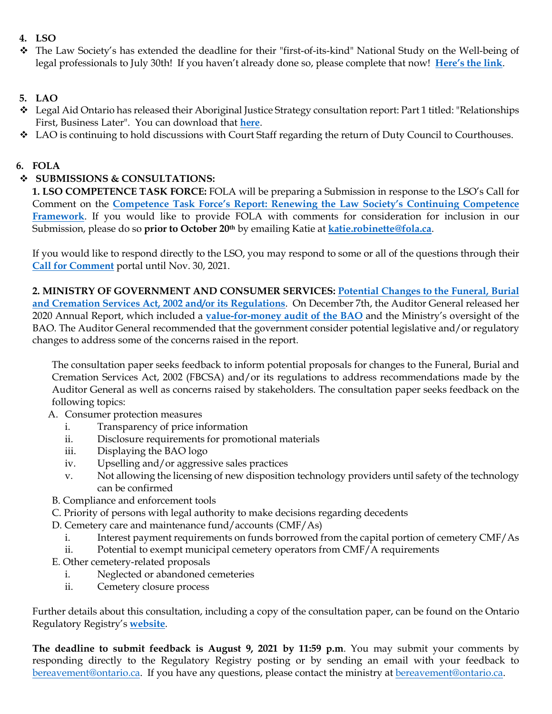# **4. LSO**

 The Law Society's has extended the deadline for their "first-of-its-kind" National Study on the Well-being of legal professionals to July 30th! If you haven't already done so, please complete that now! **[Here's the link](https://fola.ca/mental-health-resources#759eee00-e820-4144-8789-01964b865753)**.

# **5. LAO**

- $\bullet$  Legal Aid Ontario has released their Aboriginal Justice Strategy consultation report: Part 1 titled: "Relationships First, Business Later". You can download that **[here](https://img1.wsimg.com/blobby/go/63f6349d-d85d-4511-bc5f-4314d54b45d0/downloads/AJS-consultation-report-part-1-EN%20-%202021.pdf?ver=1625603544605)**.
- $\bullet$  LAO is continuing to hold discussions with Court Staff regarding the return of Duty Council to Courthouses.

# **6. FOLA**

# **SUBMISSIONS & CONSULTATIONS:**

**1. LSO COMPETENCE TASK FORCE:** FOLA will be preparing a Submission in response to the LSO's Call for Comment on the **[Competence Task Force's Report: Renewing the Law Society's Continuing Competence](https://lawsocietyontario.azureedge.net/media/lso/media/about/convocation/2021/convocation-june-2021-competence-taskforce-report.pdf)  [Framework](https://lawsocietyontario.azureedge.net/media/lso/media/about/convocation/2021/convocation-june-2021-competence-taskforce-report.pdf)**. If you would like to provide FOLA with comments for consideration for inclusion in our Submission, please do so **prior to October 20th** by emailing Katie at **[katie.robinette@fola.ca](mailto:katie.robinette@fola.ca)**.

If you would like to respond directly to the LSO, you may respond to some or all of the questions through their **[Call for Comment](https://lawsociety.forms-db.com/view.php?id=291901)** portal until Nov. 30, 2021.

**2. MINISTRY OF GOVERNMENT AND CONSUMER SERVICES: [Potential Changes to the Funeral, Burial](https://www.ontariocanada.com/registry/view.do?language=en&postingId=37807)  [and Cremation Services Act, 2002 and/or its Regulations](https://www.ontariocanada.com/registry/view.do?language=en&postingId=37807)**. On December 7th, the Auditor General released her 2020 Annual Report, which included a **[value-for-money audit of the BAO](https://www.auditor.on.ca/en/content/annualreports/arreports/en20/20VFM_09BAO.pdf)** and the Ministry's oversight of the BAO. The Auditor General recommended that the government consider potential legislative and/or regulatory changes to address some of the concerns raised in the report.

The consultation paper seeks feedback to inform potential proposals for changes to the Funeral, Burial and Cremation Services Act, 2002 (FBCSA) and/or its regulations to address recommendations made by the Auditor General as well as concerns raised by stakeholders. The consultation paper seeks feedback on the following topics:

- A. Consumer protection measures
	- i. Transparency of price information
	- ii. Disclosure requirements for promotional materials
	- iii. Displaying the BAO logo
	- iv. Upselling and/or aggressive sales practices
	- v. Not allowing the licensing of new disposition technology providers until safety of the technology can be confirmed
- B. Compliance and enforcement tools
- C. Priority of persons with legal authority to make decisions regarding decedents
- D. Cemetery care and maintenance fund/accounts (CMF/As)
	- i. Interest payment requirements on funds borrowed from the capital portion of cemetery CMF/As
	- ii. Potential to exempt municipal cemetery operators from CMF/A requirements
- E. Other cemetery-related proposals
	- i. Neglected or abandoned cemeteries
	- ii. Cemetery closure process

Further details about this consultation, including a copy of the consultation paper, can be found on the Ontario Regulatory Registry's **[website](https://www.ontariocanada.com/registry/view.do?language=en&postingId=37807)**.

**The deadline to submit feedback is August 9, 2021 by 11:59 p.m**. You may submit your comments by responding directly to the Regulatory Registry posting or by sending an email with your feedback to [bereavement@ontario.ca.](mailto:bereavement@ontario.ca) If you have any questions, please contact the ministry at [bereavement@ontario.ca.](mailto:bereavement@ontario.ca)